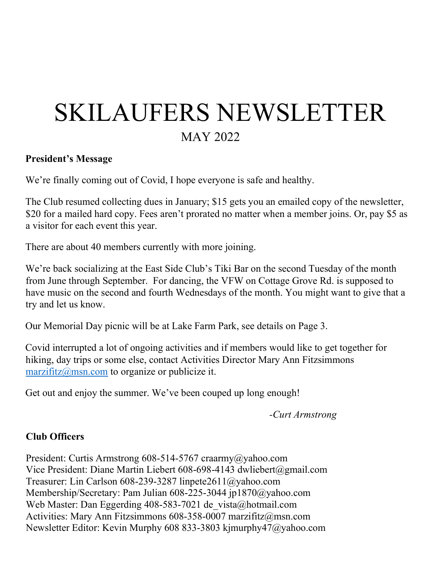# SKILAUFERS NEWSLETTER MAY 2022

#### President's Message

We're finally coming out of Covid, I hope everyone is safe and healthy.

The Club resumed collecting dues in January; \$15 gets you an emailed copy of the newsletter, \$20 for a mailed hard copy. Fees aren't prorated no matter when a member joins. Or, pay \$5 as a visitor for each event this year.

There are about 40 members currently with more joining.

We're back socializing at the East Side Club's Tiki Bar on the second Tuesday of the month from June through September. For dancing, the VFW on Cottage Grove Rd. is supposed to have music on the second and fourth Wednesdays of the month. You might want to give that a try and let us know.

Our Memorial Day picnic will be at Lake Farm Park, see details on Page 3.

Covid interrupted a lot of ongoing activities and if members would like to get together for hiking, day trips or some else, contact Activities Director Mary Ann Fitzsimmons marzifitz@msn.com to organize or publicize it.

Get out and enjoy the summer. We've been couped up long enough!

-Curt Armstrong

### Club Officers

President: Curtis Armstrong 608-514-5767 craarmy@yahoo.com Vice President: Diane Martin Liebert 608-698-4143 dwliebert@gmail.com Treasurer: Lin Carlson 608-239-3287 linpete2611@yahoo.com Membership/Secretary: Pam Julian 608-225-3044 jp1870@yahoo.com Web Master: Dan Eggerding 408-583-7021 de vista@hotmail.com Activities: Mary Ann Fitzsimmons 608-358-0007 marzifitz@msn.com Newsletter Editor: Kevin Murphy 608 833-3803 kjmurphy47@yahoo.com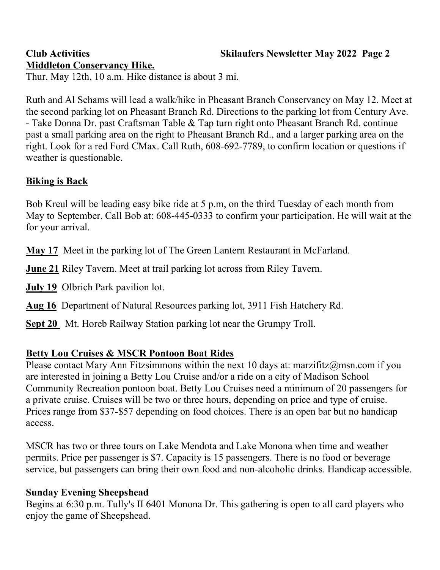## Club Activities Skilaufers Newsletter May 2022 Page 2

# Middleton Conservancy Hike.

Thur. May 12th, 10 a.m. Hike distance is about 3 mi.

Ruth and Al Schams will lead a walk/hike in Pheasant Branch Conservancy on May 12. Meet at the second parking lot on Pheasant Branch Rd. Directions to the parking lot from Century Ave. - Take Donna Dr. past Craftsman Table & Tap turn right onto Pheasant Branch Rd. continue past a small parking area on the right to Pheasant Branch Rd., and a larger parking area on the right. Look for a red Ford CMax. Call Ruth, 608-692-7789, to confirm location or questions if weather is questionable.

## Biking is Back

Bob Kreul will be leading easy bike ride at 5 p.m, on the third Tuesday of each month from May to September. Call Bob at: 608-445-0333 to confirm your participation. He will wait at the for your arrival.

May 17 Meet in the parking lot of The Green Lantern Restaurant in McFarland.

**June 21 Riley Tavern. Meet at trail parking lot across from Riley Tavern.** 

July 19 Olbrich Park pavilion lot.

Aug 16 Department of Natural Resources parking lot, 3911 Fish Hatchery Rd.

Sept 20 Mt. Horeb Railway Station parking lot near the Grumpy Troll.

## Betty Lou Cruises & MSCR Pontoon Boat Rides

Please contact Mary Ann Fitzsimmons within the next 10 days at: marzifitz $@$ msn.com if you are interested in joining a Betty Lou Cruise and/or a ride on a city of Madison School Community Recreation pontoon boat. Betty Lou Cruises need a minimum of 20 passengers for a private cruise. Cruises will be two or three hours, depending on price and type of cruise. Prices range from \$37-\$57 depending on food choices. There is an open bar but no handicap access.

MSCR has two or three tours on Lake Mendota and Lake Monona when time and weather permits. Price per passenger is \$7. Capacity is 15 passengers. There is no food or beverage service, but passengers can bring their own food and non-alcoholic drinks. Handicap accessible.

## Sunday Evening Sheepshead

Begins at 6:30 p.m. Tully's II 6401 Monona Dr. This gathering is open to all card players who enjoy the game of Sheepshead.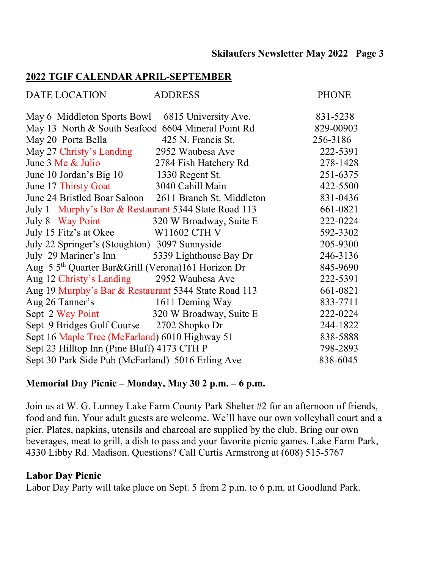#### Skilaufers Newsletter May 2022 Page 3

#### 2022 TGIF CALENDAR APRIL-SEPTEMBER

| DATE LOCATION                                                  | <b>ADDRESS</b>        | <b>PHONE</b> |
|----------------------------------------------------------------|-----------------------|--------------|
| May 6 Middleton Sports Bowl 6815 University Ave.               |                       | 831-5238     |
| May 13 North & South Seafood 6604 Mineral Point Rd             |                       | 829-00903    |
| May 20 Porta Bella                                             | 425 N. Francis St.    | 256-3186     |
| May 27 Christy's Landing                                       | 2952 Waubesa Ave      | 222-5391     |
| June 3 Me & Julio                                              | 2784 Fish Hatchery Rd | 278-1428     |
| June 10 Jordan's Big 10 1330 Regent St.                        |                       | 251-6375     |
| June 17 Thirsty Goat                                           | 3040 Cahill Main      | 422-5500     |
| June 24 Bristled Boar Saloon 2611 Branch St. Middleton         |                       | 831-0436     |
| July 1 Murphy's Bar & Restaurant 5344 State Road 113           |                       | 661-0821     |
| July 8 Way Point 320 W Broadway, Suite E                       |                       | 222-0224     |
| July 15 Fitz's at Okee W11602 CTH V                            |                       | 592-3302     |
| July 22 Springer's (Stoughton) 3097 Sunnyside                  |                       | 205-9300     |
| July 29 Mariner's Inn 5339 Lighthouse Bay Dr                   |                       | 246-3136     |
| Aug 5 5 <sup>th</sup> Quarter Bar&Grill (Verona)161 Horizon Dr |                       | 845-9690     |
| Aug 12 Christy's Landing 2952 Waubesa Ave                      |                       | 222-5391     |
| Aug 19 Murphy's Bar & Restaurant 5344 State Road 113           |                       | 661-0821     |
| Aug 26 Tanner's 1611 Deming Way                                |                       | 833-7711     |
| Sept 2 Way Point 320 W Broadway, Suite E                       |                       | 222-0224     |
| Sept 9 Bridges Golf Course 2702 Shopko Dr                      |                       | 244-1822     |
| Sept 16 Maple Tree (McFarland) 6010 Highway 51                 |                       | 838-5888     |
| Sept 23 Hilltop Inn (Pine Bluff) 4173 CTH P                    |                       | 798-2893     |
| Sept 30 Park Side Pub (McFarland) 5016 Erling Ave              |                       | 838-6045     |

### Memorial Day Picnic – Monday, May 30 2 p.m. – 6 p.m.

Join us at W. G. Lunney Lake Farm County Park Shelter #2 for an afternoon of friends, food and fun. Your adult guests are welcome. We'll have our own volleyball court and a pier. Plates, napkins, utensils and charcoal are supplied by the club. Bring our own beverages, meat to grill, a dish to pass and your favorite picnic games. Lake Farm Park, 4330 Libby Rd. Madison. Questions? Call Curtis Armstrong at (608) 515-5767

#### Labor Day Picnic

Labor Day Party will take place on Sept. 5 from 2 p.m. to 6 p.m. at Goodland Park.